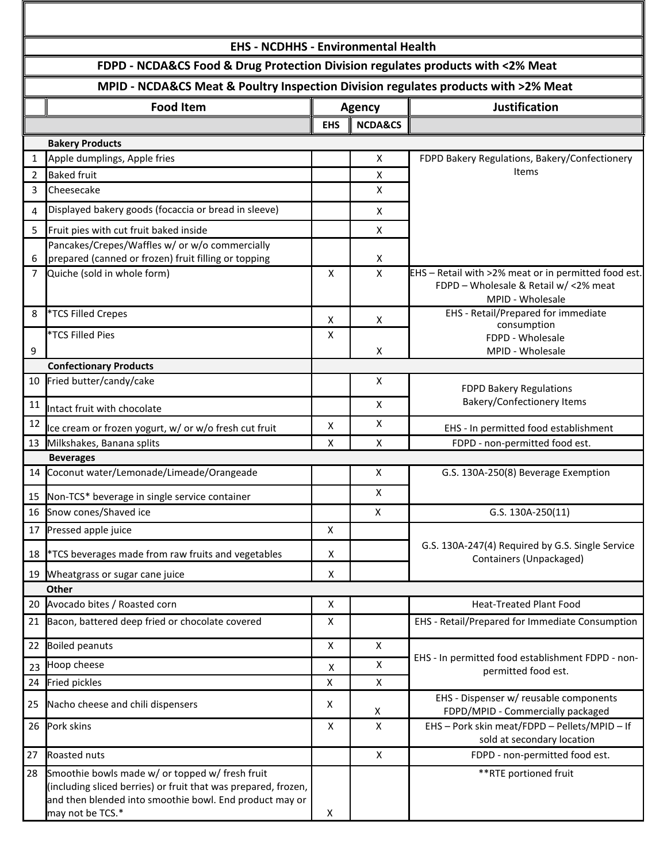| <b>EHS - NCDHHS - Environmental Health</b>                                         |                                                                                                                   |               |                    |                                                                                                                   |  |  |  |  |
|------------------------------------------------------------------------------------|-------------------------------------------------------------------------------------------------------------------|---------------|--------------------|-------------------------------------------------------------------------------------------------------------------|--|--|--|--|
| FDPD - NCDA&CS Food & Drug Protection Division regulates products with <2% Meat    |                                                                                                                   |               |                    |                                                                                                                   |  |  |  |  |
| MPID - NCDA&CS Meat & Poultry Inspection Division regulates products with >2% Meat |                                                                                                                   |               |                    |                                                                                                                   |  |  |  |  |
|                                                                                    | <b>Food Item</b>                                                                                                  | <b>Agency</b> |                    | <b>Justification</b>                                                                                              |  |  |  |  |
|                                                                                    |                                                                                                                   | <b>EHS</b>    | <b>NCDA&amp;CS</b> |                                                                                                                   |  |  |  |  |
|                                                                                    | <b>Bakery Products</b>                                                                                            |               |                    |                                                                                                                   |  |  |  |  |
| $\mathbf{1}$                                                                       | Apple dumplings, Apple fries                                                                                      |               | X                  | FDPD Bakery Regulations, Bakery/Confectionery                                                                     |  |  |  |  |
| 2                                                                                  | <b>Baked fruit</b>                                                                                                |               | X                  | Items                                                                                                             |  |  |  |  |
| 3                                                                                  | Cheesecake                                                                                                        |               | X                  |                                                                                                                   |  |  |  |  |
| 4                                                                                  | Displayed bakery goods (focaccia or bread in sleeve)                                                              |               | X                  |                                                                                                                   |  |  |  |  |
| 5                                                                                  | Fruit pies with cut fruit baked inside                                                                            |               | X                  |                                                                                                                   |  |  |  |  |
|                                                                                    | Pancakes/Crepes/Waffles w/ or w/o commercially                                                                    |               |                    |                                                                                                                   |  |  |  |  |
| 6                                                                                  | prepared (canned or frozen) fruit filling or topping                                                              |               | X                  |                                                                                                                   |  |  |  |  |
| 7                                                                                  | Quiche (sold in whole form)                                                                                       | X             | X                  | EHS - Retail with >2% meat or in permitted food est.<br>FDPD - Wholesale & Retail w/ <2% meat<br>MPID - Wholesale |  |  |  |  |
| 8                                                                                  | *TCS Filled Crepes                                                                                                | Χ             | X                  | EHS - Retail/Prepared for immediate<br>consumption                                                                |  |  |  |  |
|                                                                                    | *TCS Filled Pies                                                                                                  | X             |                    | FDPD - Wholesale                                                                                                  |  |  |  |  |
| 9                                                                                  |                                                                                                                   |               | X                  | MPID - Wholesale                                                                                                  |  |  |  |  |
|                                                                                    | <b>Confectionary Products</b>                                                                                     |               |                    |                                                                                                                   |  |  |  |  |
| 10                                                                                 | Fried butter/candy/cake                                                                                           |               | X                  | <b>FDPD Bakery Regulations</b><br><b>Bakery/Confectionery Items</b>                                               |  |  |  |  |
| 11                                                                                 | Intact fruit with chocolate                                                                                       |               | X                  |                                                                                                                   |  |  |  |  |
| 12                                                                                 | Ice cream or frozen yogurt, w/ or w/o fresh cut fruit                                                             | X             | X                  | EHS - In permitted food establishment                                                                             |  |  |  |  |
|                                                                                    | 13 Milkshakes, Banana splits                                                                                      | X             | $\mathsf{x}$       | FDPD - non-permitted food est.                                                                                    |  |  |  |  |
|                                                                                    | <b>Beverages</b>                                                                                                  |               |                    |                                                                                                                   |  |  |  |  |
| 14                                                                                 | Coconut water/Lemonade/Limeade/Orangeade                                                                          |               | X                  | G.S. 130A-250(8) Beverage Exemption                                                                               |  |  |  |  |
|                                                                                    | 15 Non-TCS* beverage in single service container                                                                  |               | X                  |                                                                                                                   |  |  |  |  |
| 16                                                                                 | Snow cones/Shaved ice                                                                                             |               | X                  | G.S. 130A-250(11)                                                                                                 |  |  |  |  |
| 17                                                                                 | Pressed apple juice                                                                                               | X             |                    |                                                                                                                   |  |  |  |  |
| 18                                                                                 | <i><b>*TCS beverages made from raw fruits and vegetables</b></i>                                                  | X             |                    | G.S. 130A-247(4) Required by G.S. Single Service<br>Containers (Unpackaged)                                       |  |  |  |  |
|                                                                                    | 19 Wheatgrass or sugar cane juice                                                                                 | х             |                    |                                                                                                                   |  |  |  |  |
|                                                                                    | <b>Other</b>                                                                                                      |               |                    |                                                                                                                   |  |  |  |  |
|                                                                                    | 20 Avocado bites / Roasted corn                                                                                   | X             |                    | <b>Heat-Treated Plant Food</b>                                                                                    |  |  |  |  |
| 21                                                                                 | Bacon, battered deep fried or chocolate covered                                                                   | X             |                    | EHS - Retail/Prepared for Immediate Consumption                                                                   |  |  |  |  |
| 22                                                                                 | <b>Boiled peanuts</b>                                                                                             | X             | X                  | EHS - In permitted food establishment FDPD - non-<br>permitted food est.                                          |  |  |  |  |
| 23                                                                                 | Hoop cheese                                                                                                       | X             | X                  |                                                                                                                   |  |  |  |  |
| 24                                                                                 | Fried pickles                                                                                                     | X             | X                  |                                                                                                                   |  |  |  |  |
| 25                                                                                 | Nacho cheese and chili dispensers                                                                                 | X             | X                  | EHS - Dispenser w/ reusable components<br>FDPD/MPID - Commercially packaged                                       |  |  |  |  |
| 26                                                                                 | Pork skins                                                                                                        | Χ             | $\pmb{\times}$     | EHS - Pork skin meat/FDPD - Pellets/MPID - If<br>sold at secondary location                                       |  |  |  |  |
| 27                                                                                 | Roasted nuts                                                                                                      |               | $\mathsf{X}$       | FDPD - non-permitted food est.                                                                                    |  |  |  |  |
| 28                                                                                 | Smoothie bowls made w/ or topped w/ fresh fruit<br>(including sliced berries) or fruit that was prepared, frozen, |               |                    | **RTE portioned fruit                                                                                             |  |  |  |  |

and then blended into smoothie bowl. End product may or may not be TCS.\* X